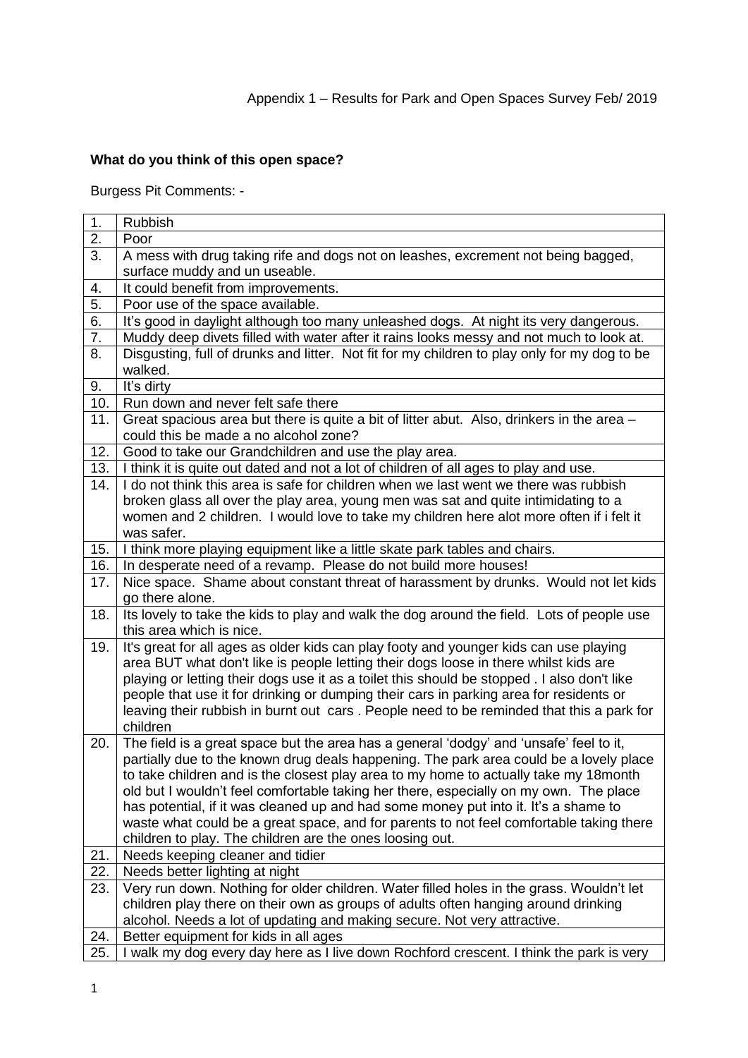# **What do you think of this open space?**

Burgess Pit Comments: -

| 1.               | <b>Rubbish</b>                                                                                                                                                                     |
|------------------|------------------------------------------------------------------------------------------------------------------------------------------------------------------------------------|
| 2.               | Poor                                                                                                                                                                               |
| 3.               | A mess with drug taking rife and dogs not on leashes, excrement not being bagged,                                                                                                  |
|                  | surface muddy and un useable.                                                                                                                                                      |
| 4.               | It could benefit from improvements.                                                                                                                                                |
| $\overline{5}$   | Poor use of the space available.                                                                                                                                                   |
| 6.               | It's good in daylight although too many unleashed dogs. At night its very dangerous.                                                                                               |
| $\overline{7}$ . | Muddy deep divets filled with water after it rains looks messy and not much to look at.                                                                                            |
| 8.               | Disgusting, full of drunks and litter. Not fit for my children to play only for my dog to be                                                                                       |
|                  | walked.                                                                                                                                                                            |
| 9.               | It's dirty                                                                                                                                                                         |
| 10.              | Run down and never felt safe there                                                                                                                                                 |
| 11.              | Great spacious area but there is quite a bit of litter abut. Also, drinkers in the area -                                                                                          |
|                  | could this be made a no alcohol zone?                                                                                                                                              |
| 12.              | Good to take our Grandchildren and use the play area.                                                                                                                              |
| 13.              | I think it is quite out dated and not a lot of children of all ages to play and use.                                                                                               |
| 14.              | I do not think this area is safe for children when we last went we there was rubbish                                                                                               |
|                  | broken glass all over the play area, young men was sat and quite intimidating to a                                                                                                 |
|                  | women and 2 children. I would love to take my children here alot more often if i felt it                                                                                           |
|                  | was safer.                                                                                                                                                                         |
| 15.              | I think more playing equipment like a little skate park tables and chairs.                                                                                                         |
| 16.              | In desperate need of a revamp. Please do not build more houses!                                                                                                                    |
| 17.              | Nice space. Shame about constant threat of harassment by drunks. Would not let kids                                                                                                |
|                  | go there alone.                                                                                                                                                                    |
| 18.              | Its lovely to take the kids to play and walk the dog around the field. Lots of people use                                                                                          |
|                  | this area which is nice.                                                                                                                                                           |
| 19.              | It's great for all ages as older kids can play footy and younger kids can use playing                                                                                              |
|                  | area BUT what don't like is people letting their dogs loose in there whilst kids are                                                                                               |
|                  | playing or letting their dogs use it as a toilet this should be stopped . I also don't like                                                                                        |
|                  | people that use it for drinking or dumping their cars in parking area for residents or<br>leaving their rubbish in burnt out cars. People need to be reminded that this a park for |
|                  | children                                                                                                                                                                           |
| 20.              | The field is a great space but the area has a general 'dodgy' and 'unsafe' feel to it,                                                                                             |
|                  | partially due to the known drug deals happening. The park area could be a lovely place                                                                                             |
|                  | to take children and is the closest play area to my home to actually take my 18 month                                                                                              |
|                  | old but I wouldn't feel comfortable taking her there, especially on my own. The place                                                                                              |
|                  | has potential, if it was cleaned up and had some money put into it. It's a shame to                                                                                                |
|                  | waste what could be a great space, and for parents to not feel comfortable taking there                                                                                            |
|                  | children to play. The children are the ones loosing out.                                                                                                                           |
| 21.              | Needs keeping cleaner and tidier                                                                                                                                                   |
| 22.              | Needs better lighting at night                                                                                                                                                     |
| 23.              | Very run down. Nothing for older children. Water filled holes in the grass. Wouldn't let                                                                                           |
|                  | children play there on their own as groups of adults often hanging around drinking                                                                                                 |
|                  | alcohol. Needs a lot of updating and making secure. Not very attractive.                                                                                                           |
| 24.              | Better equipment for kids in all ages                                                                                                                                              |
| 25.              | I walk my dog every day here as I live down Rochford crescent. I think the park is very                                                                                            |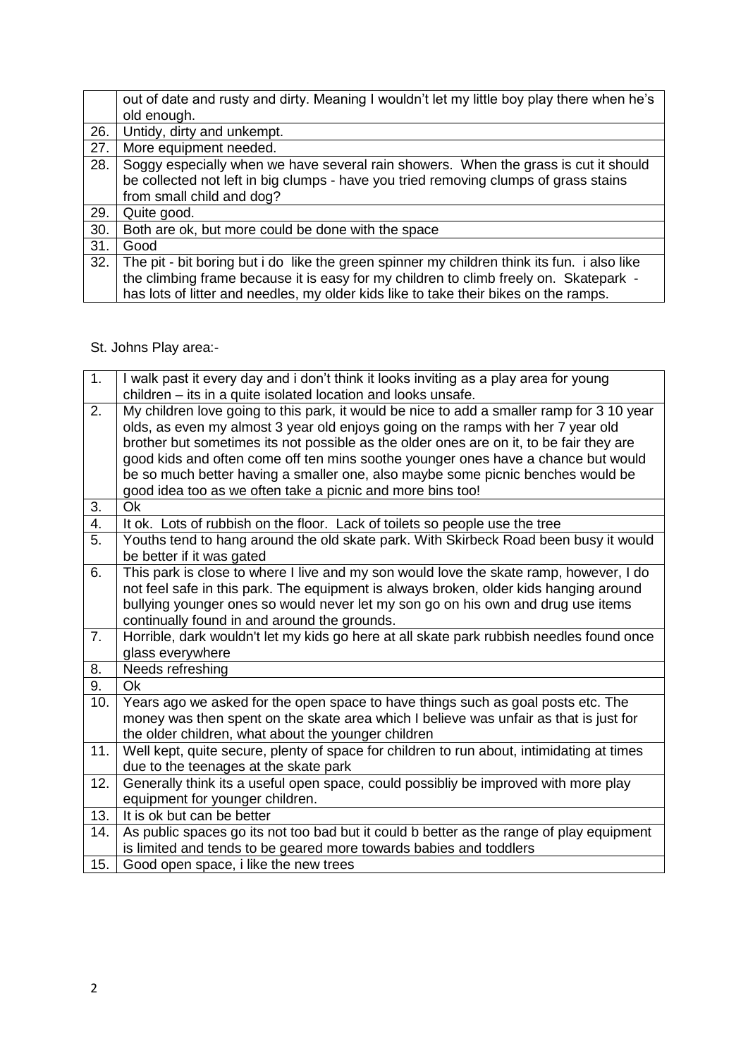|     | out of date and rusty and dirty. Meaning I wouldn't let my little boy play there when he's  |
|-----|---------------------------------------------------------------------------------------------|
|     | old enough.                                                                                 |
| 26. | Untidy, dirty and unkempt.                                                                  |
| 27. | More equipment needed.                                                                      |
| 28. | Soggy especially when we have several rain showers. When the grass is cut it should         |
|     | be collected not left in big clumps - have you tried removing clumps of grass stains        |
|     | from small child and dog?                                                                   |
| 29. | Quite good.                                                                                 |
| 30. | Both are ok, but more could be done with the space                                          |
| 31. | Good                                                                                        |
| 32. | The pit - bit boring but i do like the green spinner my children think its fun. i also like |
|     | the climbing frame because it is easy for my children to climb freely on. Skatepark -       |
|     | has lots of litter and needles, my older kids like to take their bikes on the ramps.        |

St. Johns Play area:-

| 1.               | I walk past it every day and i don't think it looks inviting as a play area for young     |
|------------------|-------------------------------------------------------------------------------------------|
|                  | children – its in a quite isolated location and looks unsafe.                             |
| 2.               | My children love going to this park, it would be nice to add a smaller ramp for 3 10 year |
|                  | olds, as even my almost 3 year old enjoys going on the ramps with her 7 year old          |
|                  | brother but sometimes its not possible as the older ones are on it, to be fair they are   |
|                  | good kids and often come off ten mins soothe younger ones have a chance but would         |
|                  | be so much better having a smaller one, also maybe some picnic benches would be           |
|                  | good idea too as we often take a picnic and more bins too!                                |
| 3.               | <b>Ok</b>                                                                                 |
| $\overline{4}$ . | It ok. Lots of rubbish on the floor. Lack of toilets so people use the tree               |
| 5.               | Youths tend to hang around the old skate park. With Skirbeck Road been busy it would      |
|                  | be better if it was gated                                                                 |
| 6.               | This park is close to where I live and my son would love the skate ramp, however, I do    |
|                  | not feel safe in this park. The equipment is always broken, older kids hanging around     |
|                  | bullying younger ones so would never let my son go on his own and drug use items          |
|                  | continually found in and around the grounds.                                              |
| 7.               | Horrible, dark wouldn't let my kids go here at all skate park rubbish needles found once  |
|                  | glass everywhere                                                                          |
| 8.               | Needs refreshing                                                                          |
| 9.               | Ok                                                                                        |
| 10.              | Years ago we asked for the open space to have things such as goal posts etc. The          |
|                  | money was then spent on the skate area which I believe was unfair as that is just for     |
|                  | the older children, what about the younger children                                       |
| 11.              | Well kept, quite secure, plenty of space for children to run about, intimidating at times |
|                  | due to the teenages at the skate park                                                     |
| 12.              | Generally think its a useful open space, could possibliy be improved with more play       |
|                  | equipment for younger children.                                                           |
| 13.              | It is ok but can be better                                                                |
| 14.              | As public spaces go its not too bad but it could b better as the range of play equipment  |
|                  | is limited and tends to be geared more towards babies and toddlers                        |
| 15.              | Good open space, i like the new trees                                                     |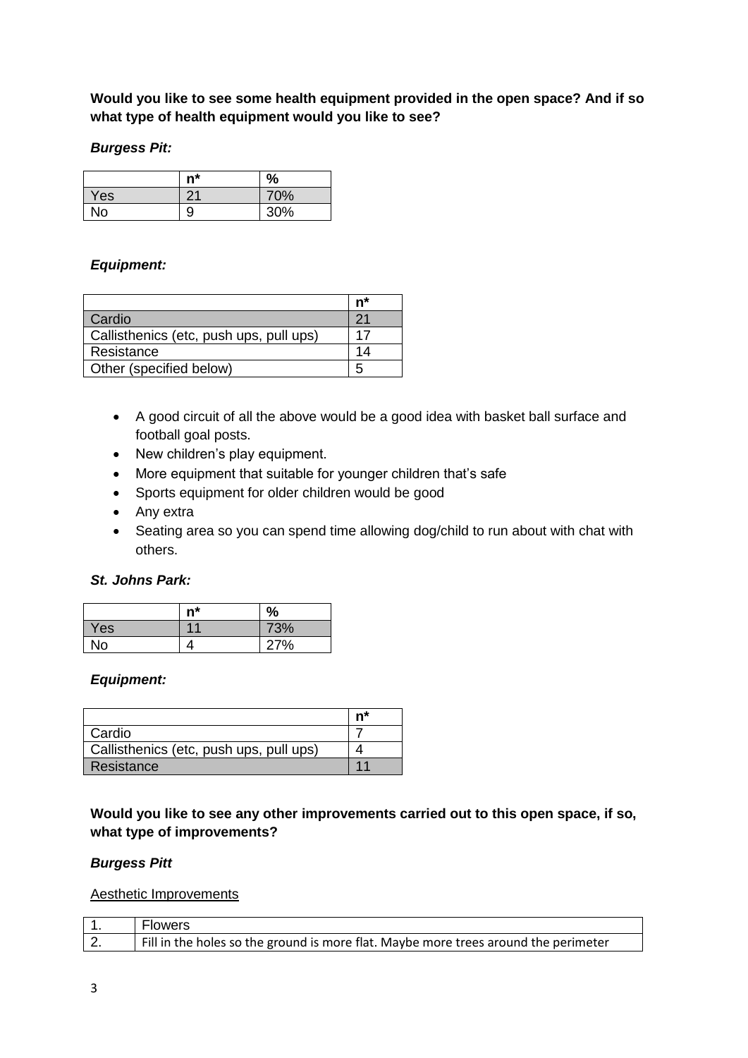**Would you like to see some health equipment provided in the open space? And if so what type of health equipment would you like to see?**

#### *Burgess Pit:*

|     | $n^*$         | $\%$ |
|-----|---------------|------|
| Yes | $\mathcal{D}$ | 70%  |
| No  | 9             | 30%  |

### *Equipment:*

|                                         | n* |
|-----------------------------------------|----|
| Cardio                                  |    |
| Callisthenics (etc, push ups, pull ups) |    |
| Resistance                              |    |
| Other (specified below)                 | h  |

- A good circuit of all the above would be a good idea with basket ball surface and football goal posts.
- New children's play equipment.
- More equipment that suitable for younger children that's safe
- Sports equipment for older children would be good
- Any extra
- Seating area so you can spend time allowing dog/child to run about with chat with others.

#### *St. Johns Park:*

|           | n* | %   |
|-----------|----|-----|
| Yes       |    | 73% |
| <b>No</b> |    | 27% |

#### *Equipment:*

|                                         | n <sup>*</sup> |
|-----------------------------------------|----------------|
| Cardio                                  |                |
| Callisthenics (etc, push ups, pull ups) |                |
| Resistance                              |                |

**Would you like to see any other improvements carried out to this open space, if so, what type of improvements?**

#### *Burgess Pitt*

Aesthetic Improvements

|    | <b>Flowers</b>                                                                      |
|----|-------------------------------------------------------------------------------------|
| Z. | Fill in the holes so the ground is more flat. Maybe more trees around the perimeter |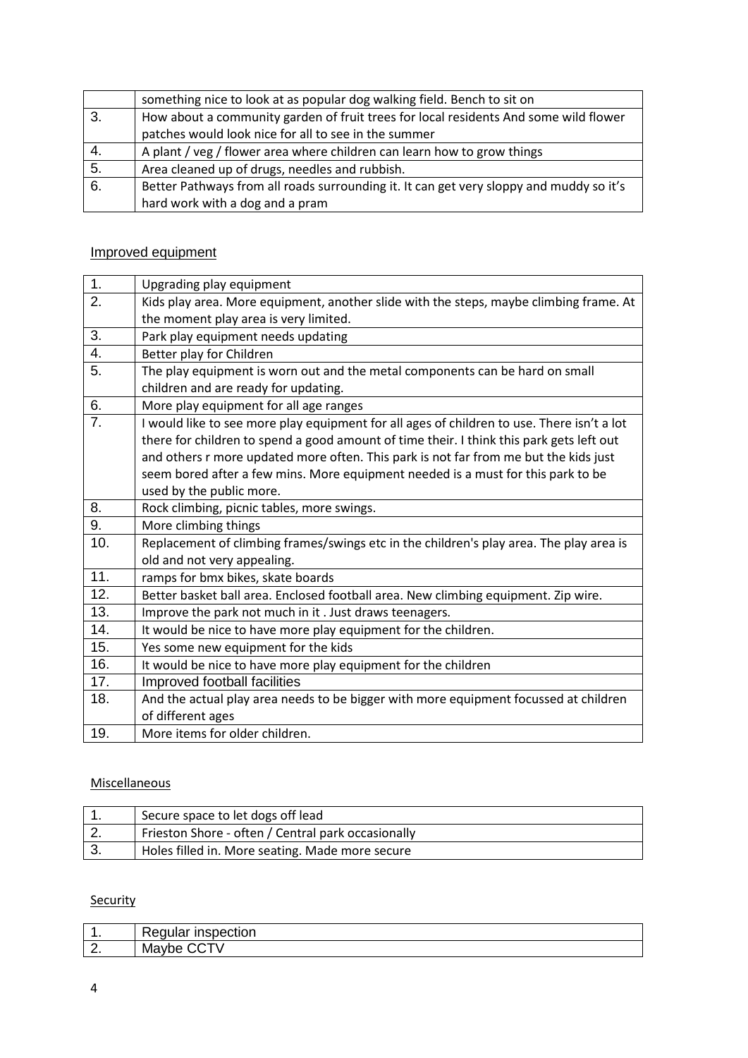|    | something nice to look at as popular dog walking field. Bench to sit on                 |  |
|----|-----------------------------------------------------------------------------------------|--|
| 3. | How about a community garden of fruit trees for local residents And some wild flower    |  |
|    | patches would look nice for all to see in the summer                                    |  |
| 4. | A plant / veg / flower area where children can learn how to grow things                 |  |
| 5. | Area cleaned up of drugs, needles and rubbish.                                          |  |
| 6. | Better Pathways from all roads surrounding it. It can get very sloppy and muddy so it's |  |
|    | hard work with a dog and a pram                                                         |  |

#### Improved equipment

| 1.  | Upgrading play equipment                                                                   |
|-----|--------------------------------------------------------------------------------------------|
| 2.  | Kids play area. More equipment, another slide with the steps, maybe climbing frame. At     |
|     | the moment play area is very limited.                                                      |
| 3.  | Park play equipment needs updating                                                         |
| 4.  | Better play for Children                                                                   |
| 5.  | The play equipment is worn out and the metal components can be hard on small               |
|     | children and are ready for updating.                                                       |
| 6.  | More play equipment for all age ranges                                                     |
| 7.  | I would like to see more play equipment for all ages of children to use. There isn't a lot |
|     | there for children to spend a good amount of time their. I think this park gets left out   |
|     | and others r more updated more often. This park is not far from me but the kids just       |
|     | seem bored after a few mins. More equipment needed is a must for this park to be           |
|     | used by the public more.                                                                   |
| 8.  | Rock climbing, picnic tables, more swings.                                                 |
| 9.  | More climbing things                                                                       |
| 10. | Replacement of climbing frames/swings etc in the children's play area. The play area is    |
|     | old and not very appealing.                                                                |
| 11. | ramps for bmx bikes, skate boards                                                          |
| 12. | Better basket ball area. Enclosed football area. New climbing equipment. Zip wire.         |
| 13. | Improve the park not much in it. Just draws teenagers.                                     |
| 14. | It would be nice to have more play equipment for the children.                             |
| 15. | Yes some new equipment for the kids                                                        |
| 16. | It would be nice to have more play equipment for the children                              |
| 17. | Improved football facilities                                                               |
| 18. | And the actual play area needs to be bigger with more equipment focussed at children       |
|     | of different ages                                                                          |
| 19. | More items for older children.                                                             |

## Miscellaneous

|    | Secure space to let dogs off lead                  |
|----|----------------------------------------------------|
| z. | Frieston Shore - often / Central park occasionally |
|    | Holes filled in. More seating. Made more secure    |

### **Security**

| . .          | $1 - 1 - 1 - 1 - 1$<br><b>Inspection</b><br>∀equla∟ |
|--------------|-----------------------------------------------------|
| $\sim$<br>Z. | Ma <sup>®</sup><br><b>vve</b><br>v                  |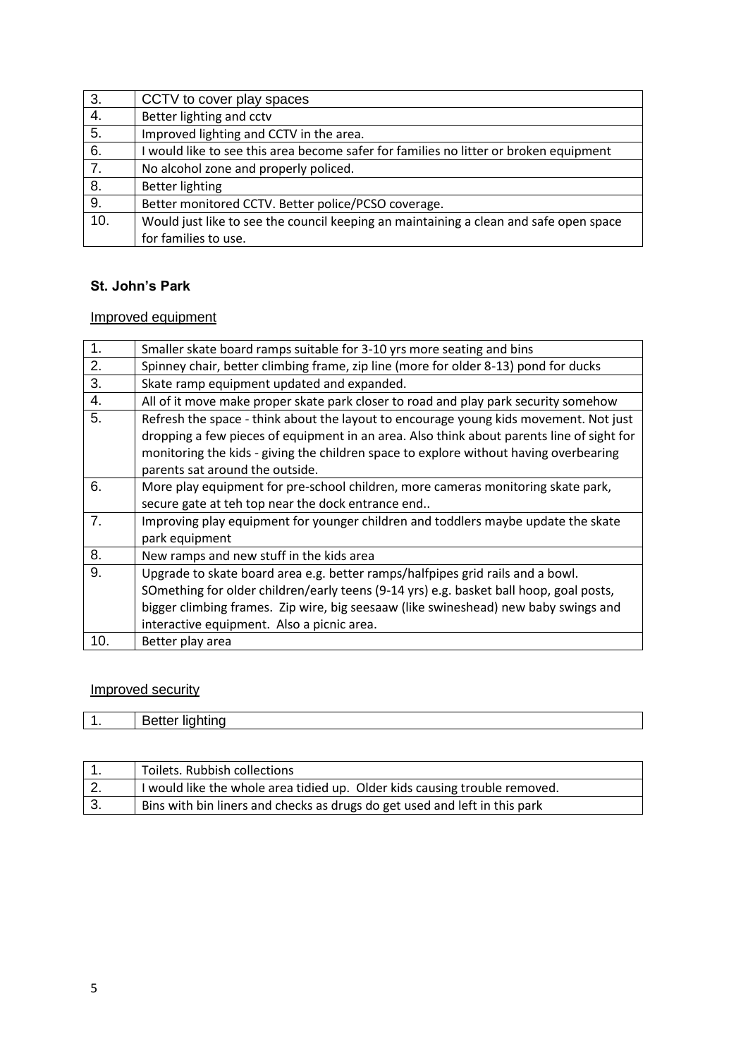| 3.  | CCTV to cover play spaces                                                             |
|-----|---------------------------------------------------------------------------------------|
| 4.  | Better lighting and cctv                                                              |
| 5.  | Improved lighting and CCTV in the area.                                               |
| 6.  | I would like to see this area become safer for families no litter or broken equipment |
| 7.  | No alcohol zone and properly policed.                                                 |
| 8.  | <b>Better lighting</b>                                                                |
| 9.  | Better monitored CCTV. Better police/PCSO coverage.                                   |
| 10. | Would just like to see the council keeping an maintaining a clean and safe open space |
|     | for families to use.                                                                  |

### **St. John's Park**

## Improved equipment

| 1.             | Smaller skate board ramps suitable for 3-10 yrs more seating and bins                                                                                                                                                                                                                                          |
|----------------|----------------------------------------------------------------------------------------------------------------------------------------------------------------------------------------------------------------------------------------------------------------------------------------------------------------|
| 2.             | Spinney chair, better climbing frame, zip line (more for older 8-13) pond for ducks                                                                                                                                                                                                                            |
| 3.             | Skate ramp equipment updated and expanded.                                                                                                                                                                                                                                                                     |
| 4.             | All of it move make proper skate park closer to road and play park security somehow                                                                                                                                                                                                                            |
| 5.             | Refresh the space - think about the layout to encourage young kids movement. Not just<br>dropping a few pieces of equipment in an area. Also think about parents line of sight for<br>monitoring the kids - giving the children space to explore without having overbearing<br>parents sat around the outside. |
| 6.             | More play equipment for pre-school children, more cameras monitoring skate park,<br>secure gate at teh top near the dock entrance end                                                                                                                                                                          |
| 7 <sub>1</sub> | Improving play equipment for younger children and toddlers maybe update the skate<br>park equipment                                                                                                                                                                                                            |
| 8.             | New ramps and new stuff in the kids area                                                                                                                                                                                                                                                                       |
| 9.             | Upgrade to skate board area e.g. better ramps/halfpipes grid rails and a bowl.<br>SOmething for older children/early teens (9-14 yrs) e.g. basket ball hoop, goal posts,<br>bigger climbing frames. Zip wire, big seesaaw (like swineshead) new baby swings and<br>interactive equipment. Also a picnic area.  |
| 10.            | Better play area                                                                                                                                                                                                                                                                                               |

### Improved security

| .<br>∺יר<br>۱۱.<br>------<br>. .<br>. |
|---------------------------------------|
|---------------------------------------|

|    | Toilets. Rubbish collections                                               |
|----|----------------------------------------------------------------------------|
| 2. | I would like the whole area tidied up. Older kids causing trouble removed. |
|    | Bins with bin liners and checks as drugs do get used and left in this park |